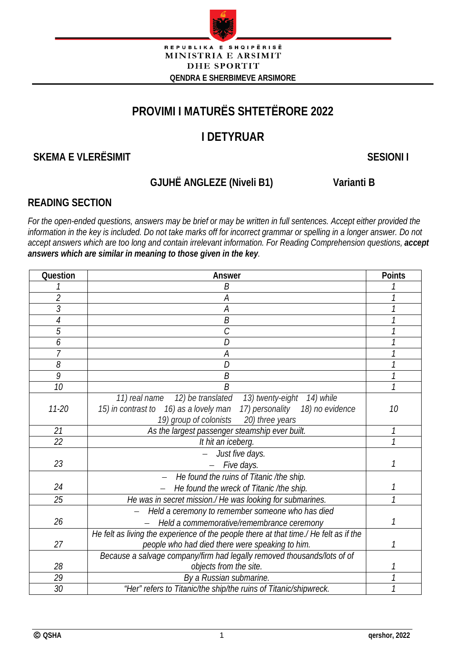

# **PROVIMI I MATURËS SHTETËRORE 2022**

# **I DETYRUAR**

# **SKEMA E VLERËSIMIT** SKEMA E VLERËSIMIT

# **GJUHË ANGLEZE (Niveli B1) Varianti B**

# **READING SECTION**

*For the open-ended questions, answers may be brief or may be written in full sentences. Accept either provided the*  information in the key is included. Do not take marks off for incorrect grammar or spelling in a longer answer. Do not *accept answers which are too long and contain irrelevant information. For Reading Comprehension questions, accept answers which are similar in meaning to those given in the key.*

| Question       | Answer                                                                                |    |  |  |  |
|----------------|---------------------------------------------------------------------------------------|----|--|--|--|
|                | B                                                                                     |    |  |  |  |
| $\overline{2}$ | А                                                                                     | 1  |  |  |  |
| 3              | Α                                                                                     |    |  |  |  |
| 4              | B                                                                                     |    |  |  |  |
| 5              | C                                                                                     |    |  |  |  |
| 6              | D                                                                                     |    |  |  |  |
| 7              | Α                                                                                     |    |  |  |  |
| 8              | D                                                                                     |    |  |  |  |
| 9              | B                                                                                     |    |  |  |  |
| 10             | Β                                                                                     |    |  |  |  |
|                | 12) be translated 13) twenty-eight 14) while<br>11) real name                         |    |  |  |  |
| $11 - 20$      | 15) in contrast to 16) as a lovely man<br>17) personality<br>18) no evidence          | 10 |  |  |  |
|                | 19) group of colonists 20) three years                                                |    |  |  |  |
| 21             | As the largest passenger steamship ever built.                                        |    |  |  |  |
| 22             | It hit an iceberg.                                                                    |    |  |  |  |
|                | Just five days.                                                                       |    |  |  |  |
| 23             | Five days.                                                                            | 1  |  |  |  |
|                | He found the ruins of Titanic /the ship.                                              |    |  |  |  |
| 24             | He found the wreck of Titanic /the ship.                                              |    |  |  |  |
| 25             | He was in secret mission./ He was looking for submarines.                             |    |  |  |  |
|                | Held a ceremony to remember someone who has died                                      |    |  |  |  |
| 26             | Held a commemorative/remembrance ceremony                                             | 1  |  |  |  |
|                | He felt as living the experience of the people there at that time./ He felt as if the |    |  |  |  |
| 27             | people who had died there were speaking to him.                                       |    |  |  |  |
|                | Because a salvage company/firm had legally removed thousands/lots of of               |    |  |  |  |
| 28             | objects from the site.                                                                |    |  |  |  |
| 29             | By a Russian submarine.                                                               |    |  |  |  |
| 30             | "Her" refers to Titanic/the ship/the ruins of Titanic/shipwreck.                      |    |  |  |  |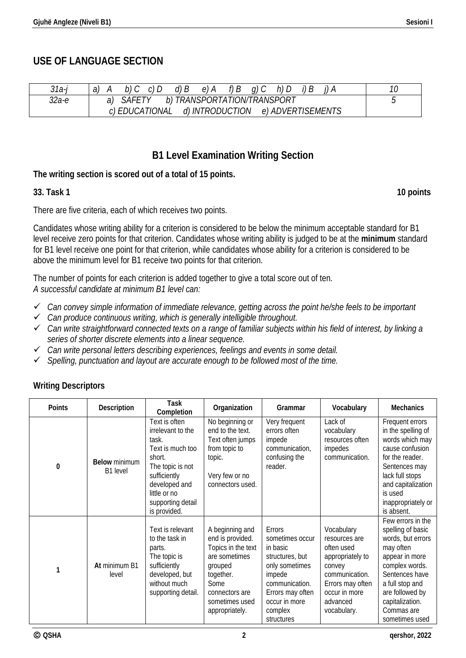# **USE OF LANGUAGE SECTION**

| $31a-$ | d) R<br>g) C<br>e).<br>a.<br>А                         | 10 |
|--------|--------------------------------------------------------|----|
| 32а-е  | TRANSPORTATION/TRANSPORT<br>$A$ $F$<br>b)              |    |
|        | e) ADVERTISEMENTS<br>d) INTRODUCTION<br>c) EDUCATIONAL |    |

# **B1 Level Examination Writing Section**

### **The writing section is scored out of a total of 15 points.**

### **33. Task 1 10 points**

There are five criteria, each of which receives two points.

Candidates whose writing ability for a criterion is considered to be below the minimum acceptable standard for B1 level receive zero points for that criterion. Candidates whose writing ability is judged to be at the **minimum** standard for B1 level receive one point for that criterion, while candidates whose ability for a criterion is considered to be above the minimum level for B1 receive two points for that criterion.

The number of points for each criterion is added together to give a total score out of ten. *A successful candidate at minimum B1 level can:*

- *Can convey simple information of immediate relevance, getting across the point he/she feels to be important*
- *Can produce continuous writing, which is generally intelligible throughout.*
- *Can write straightforward connected texts on a range of familiar subjects within his field of interest, by linking a series of shorter discrete elements into a linear sequence.*
- *Can write personal letters describing experiences, feelings and events in some detail.*
- *Spelling, punctuation and layout are accurate enough to be followed most of the time.*

### **Writing Descriptors**

| <b>Points</b> | Description                      | Task<br>Completion                                                                                                                                                                  | Organization                                                                                                                                                     | Grammar                                                                                                                                                              | Vocabulary                                                                                                                                                | <b>Mechanics</b>                                                                                                                                                                                                        |
|---------------|----------------------------------|-------------------------------------------------------------------------------------------------------------------------------------------------------------------------------------|------------------------------------------------------------------------------------------------------------------------------------------------------------------|----------------------------------------------------------------------------------------------------------------------------------------------------------------------|-----------------------------------------------------------------------------------------------------------------------------------------------------------|-------------------------------------------------------------------------------------------------------------------------------------------------------------------------------------------------------------------------|
| $\bf{0}$      | <b>Below</b> minimum<br>B1 level | Text is often<br>irrelevant to the<br>task.<br>Text is much too<br>short.<br>The topic is not<br>sufficiently<br>developed and<br>little or no<br>supporting detail<br>is provided. | No beginning or<br>end to the text.<br>Text often jumps<br>from topic to<br>topic.<br>Very few or no<br>connectors used.                                         | Very frequent<br>errors often<br>impede<br>communication,<br>confusing the<br>reader.                                                                                | Lack of<br>vocabulary<br>resources often<br>impedes<br>communication.                                                                                     | Frequent errors<br>in the spelling of<br>words which may<br>cause confusion<br>for the reader.<br>Sentences may<br>lack full stops<br>and capitalization<br>is used<br>inappropriately or<br>is absent.                 |
| 1             | At minimum B1<br>level           | Text is relevant<br>to the task in<br>parts.<br>The topic is<br>sufficiently<br>developed, but<br>without much<br>supporting detail.                                                | A beginning and<br>end is provided.<br>Topics in the text<br>are sometimes<br>grouped<br>together.<br>Some<br>connectors are<br>sometimes used<br>appropriately. | Errors<br>sometimes occur<br>in basic<br>structures, but<br>only sometimes<br>impede<br>communication.<br>Errors may often<br>occur in more<br>complex<br>structures | Vocabulary<br>resources are<br>often used<br>appropriately to<br>convey<br>communication.<br>Errors may often<br>occur in more<br>advanced<br>vocabulary. | Few errors in the<br>spelling of basic<br>words, but errors<br>may often<br>appear in more<br>complex words.<br>Sentences have<br>a full stop and<br>are followed by<br>capitalization.<br>Commas are<br>sometimes used |